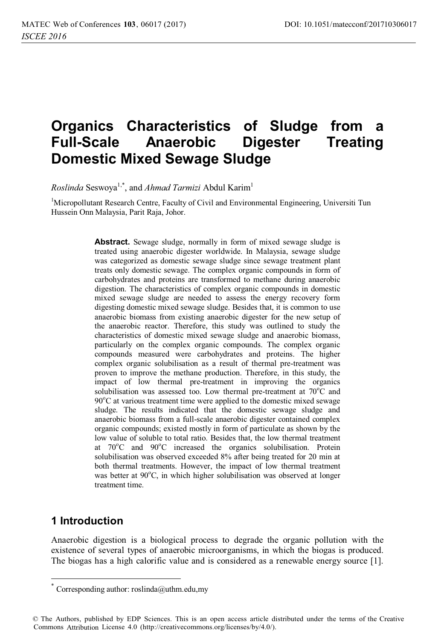# **Organics Characteristics of Sludge from a Full-Scale Anaerobic Digester Treating Domestic Mixed Sewage Sludge**

*Roslinda* Seswoya<sup>1,\*</sup>, and *Ahmad Tarmizi* Abdul Karim<sup>1</sup>

<sup>1</sup>Micropollutant Research Centre, Faculty of Civil and Environmental Engineering, Universiti Tun Hussein Onn Malaysia, Parit Raja, Johor.

> **Abstract.** Sewage sludge, normally in form of mixed sewage sludge is treated using anaerobic digester worldwide. In Malaysia, sewage sludge was categorized as domestic sewage sludge since sewage treatment plant treats only domestic sewage. The complex organic compounds in form of carbohydrates and proteins are transformed to methane during anaerobic digestion. The characteristics of complex organic compounds in domestic mixed sewage sludge are needed to assess the energy recovery form digesting domestic mixed sewage sludge. Besides that, it is common to use anaerobic biomass from existing anaerobic digester for the new setup of the anaerobic reactor. Therefore, this study was outlined to study the characteristics of domestic mixed sewage sludge and anaerobic biomass, particularly on the complex organic compounds. The complex organic compounds measured were carbohydrates and proteins. The higher complex organic solubilisation as a result of thermal pre-treatment was proven to improve the methane production. Therefore, in this study, the impact of low thermal pre-treatment in improving the organics solubilisation was assessed too. Low thermal pre-treatment at 70°C and 90°C at various treatment time were applied to the domestic mixed sewage sludge. The results indicated that the domestic sewage sludge and anaerobic biomass from a full-scale anaerobic digester contained complex organic compounds; existed mostly in form of particulate as shown by the low value of soluble to total ratio. Besides that, the low thermal treatment at 70°C and 90°C increased the organics solubilisation. Protein solubilisation was observed exceeded 8% after being treated for 20 min at both thermal treatments. However, the impact of low thermal treatment was better at 90°C, in which higher solubilisation was observed at longer treatment time.

# **1 Introduction**

 $\overline{a}$ 

Anaerobic digestion is a biological process to degrade the organic pollution with the existence of several types of anaerobic microorganisms, in which the biogas is produced. The biogas has a high calorific value and is considered as a renewable energy source [1].

Corresponding author:  $rosh(aa)$ uthm.edu,my

<sup>©</sup> The Authors, published by EDP Sciences. This is an open access article distributed under the terms of the Creative Commons Attribution License 4.0 (http://creativecommons.org/licenses/by/4.0/).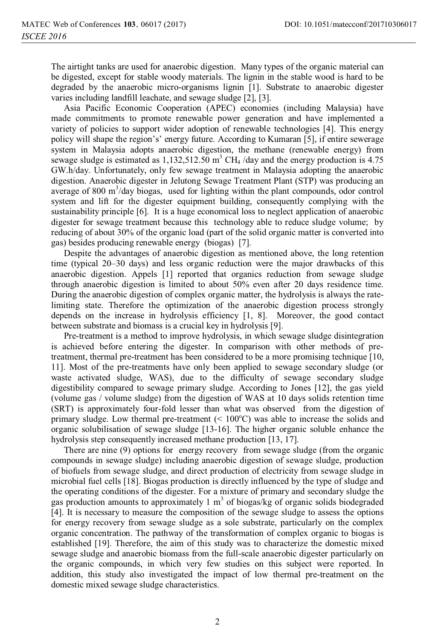The airtight tanks are used for anaerobic digestion. Many types of the organic material can be digested, except for stable woody materials. The lignin in the stable wood is hard to be degraded by the anaerobic micro-organisms lignin [1]. Substrate to anaerobic digester varies including landfill leachate, and sewage sludge [2], [3].

Asia Pacific Economic Cooperation (APEC) economies (including Malaysia) have made commitments to promote renewable power generation and have implemented a variety of policies to support wider adoption of renewable technologies [4]. This energy policy will shape the region's' energy future. According to Kumaran [5], if entire sewerage system in Malaysia adopts anaerobic digestion, the methane (renewable energy) from sewage sludge is estimated as  $1,132,512.50 \text{ m}^3 \text{ CH}_4$  /day and the energy production is 4.75 GW.h/day. Unfortunately, only few sewage treatment in Malaysia adopting the anaerobic digestion. Anaerobic digester in Jelutong Sewage Treatment Plant (STP) was producing an average of 800 m<sup>3</sup>/day biogas, used for lighting within the plant compounds, odor control system and lift for the digester equipment building, consequently complying with the sustainability principle [6]. It is a huge economical loss to neglect application of anaerobic digester for sewage treatment because this technology able to reduce sludge volume; by reducing of about 30% of the organic load (part of the solid organic matter is converted into gas) besides producing renewable energy (biogas) [7].

Despite the advantages of anaerobic digestion as mentioned above, the long retention time (typical 20–30 days) and less organic reduction were the major drawbacks of this anaerobic digestion. Appels [1] reported that organics reduction from sewage sludge through anaerobic digestion is limited to about 50% even after 20 days residence time. During the anaerobic digestion of complex organic matter, the hydrolysis is always the ratelimiting state. Therefore the optimization of the anaerobic digestion process strongly depends on the increase in hydrolysis efficiency [1, 8]. Moreover, the good contact between substrate and biomass is a crucial key in hydrolysis [9].

Pre-treatment is a method to improve hydrolysis, in which sewage sludge disintegration is achieved before entering the digester. In comparison with other methods of pretreatment, thermal pre-treatment has been considered to be a more promising technique [10, 11]. Most of the pre-treatments have only been applied to sewage secondary sludge (or waste activated sludge, WAS), due to the difficulty of sewage secondary sludge digestibility compared to sewage primary sludge. According to Jones [12], the gas yield (volume gas / volume sludge) from the digestion of WAS at 10 days solids retention time (SRT) is approximately four-fold lesser than what was observed from the digestion of primary sludge. Low thermal pre-treatment  $(< 100^{\circ}$ C) was able to increase the solids and organic solubilisation of sewage sludge [13-16]. The higher organic soluble enhance the hydrolysis step consequently increased methane production [13, 17].

There are nine (9) options for energy recovery from sewage sludge (from the organic compounds in sewage sludge) including anaerobic digestion of sewage sludge, production of biofuels from sewage sludge, and direct production of electricity from sewage sludge in microbial fuel cells [18]. Biogas production is directly influenced by the type of sludge and the operating conditions of the digester. For a mixture of primary and secondary sludge the gas production amounts to approximately 1  $m<sup>3</sup>$  of biogas/kg of organic solids biodegraded [4]. It is necessary to measure the composition of the sewage sludge to assess the options for energy recovery from sewage sludge as a sole substrate, particularly on the complex organic concentration. The pathway of the transformation of complex organic to biogas is established [19]. Therefore, the aim of this study was to characterize the domestic mixed sewage sludge and anaerobic biomass from the full-scale anaerobic digester particularly on the organic compounds, in which very few studies on this subject were reported. In addition, this study also investigated the impact of low thermal pre-treatment on the domestic mixed sewage sludge characteristics.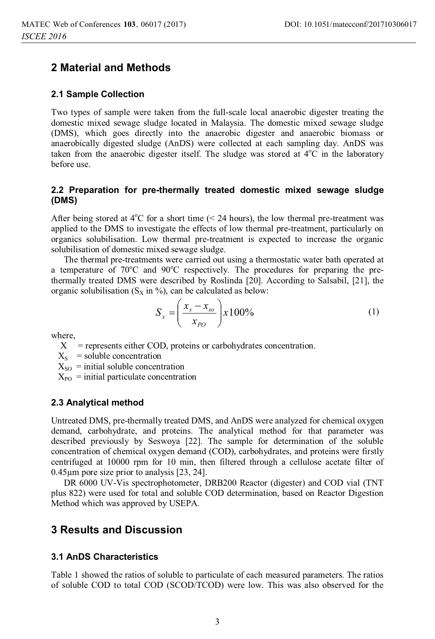### **2 Material and Methods**

#### **2.1 Sample Collection**

Two types of sample were taken from the full-scale local anaerobic digester treating the domestic mixed sewage sludge located in Malaysia. The domestic mixed sewage sludge (DMS), which goes directly into the anaerobic digester and anaerobic biomass or anaerobically digested sludge (AnDS) were collected at each sampling day. AnDS was taken from the anaerobic digester itself. The sludge was stored at  $4^{\circ}$ C in the laboratory before use.

### **2.2 Preparation for pre-thermally treated domestic mixed sewage sludge (DMS)**

After being stored at  $4^{\circ}$ C for a short time (< 24 hours), the low thermal pre-treatment was applied to the DMS to investigate the effects of low thermal pre-treatment, particularly on organics solubilisation. Low thermal pre-treatment is expected to increase the organic solubilisation of domestic mixed sewage sludge.

The thermal pre-treatments were carried out using a thermostatic water bath operated at a temperature of 70°C and 90°C respectively. The procedures for preparing the prethermally treated DMS were described by Roslinda [20]. According to Salsabil, [21], the organic solubilisation ( $S_X$  in %), can be calculated as below:

$$
S_x = \left(\frac{x_s - x_{so}}{x_{PO}}\right) x 100\%
$$
 (1)

where,

- $X =$  represents either COD, proteins or carbohydrates concentration.
- $X<sub>S</sub>$  = soluble concentration
- $X_{SO}$  = initial soluble concentration
- $X_{PO}$  = initial particulate concentration

#### **2.3 Analytical method**

Untreated DMS, pre-thermally treated DMS, and AnDS were analyzed for chemical oxygen demand, carbohydrate, and proteins. The analytical method for that parameter was described previously by Seswoya [22]. The sample for determination of the soluble concentration of chemical oxygen demand (COD), carbohydrates, and proteins were firstly centrifuged at 10000 rpm for 10 min, then filtered through a cellulose acetate filter of 0.45μm pore size prior to analysis [23, 24].

DR 6000 UV-Vis spectrophotometer, DRB200 Reactor (digester) and COD vial (TNT plus 822) were used for total and soluble COD determination, based on Reactor Digestion Method which was approved by USEPA.

# **3 Results and Discussion**

#### **3.1 AnDS Characteristics**

Table 1 showed the ratios of soluble to particulate of each measured parameters. The ratios of soluble COD to total COD (SCOD/TCOD) were low. This was also observed for the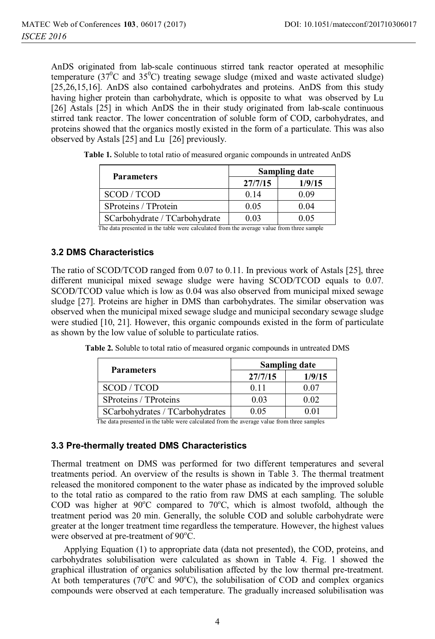AnDS originated from lab-scale continuous stirred tank reactor operated at mesophilic temperature ( $37^0$ C and  $35^0$ C) treating sewage sludge (mixed and waste activated sludge) [25,26,15,16]. AnDS also contained carbohydrates and proteins. AnDS from this study having higher protein than carbohydrate, which is opposite to what was observed by Lu [26] Astals [25] in which AnDS the in their study originated from lab-scale continuous stirred tank reactor. The lower concentration of soluble form of COD, carbohydrates, and proteins showed that the organics mostly existed in the form of a particulate. This was also observed by Astals [25] and Lu [26] previously.

| <b>Parameters</b>             | <b>Sampling date</b> |        |  |
|-------------------------------|----------------------|--------|--|
|                               | 27/7/15              | 1/9/15 |  |
| SCOD / TCOD                   | 0.14                 | 0.09   |  |
| SProteins / TProtein          | 0.05                 | 0.04   |  |
| SCarbohydrate / TCarbohydrate | 0.03                 | 0.05   |  |

**Table 1.** Soluble to total ratio of measured organic compounds in untreated AnDS

The data presented in the table were calculated from the average value from three sample

### **3.2 DMS Characteristics**

The ratio of SCOD/TCOD ranged from 0.07 to 0.11. In previous work of Astals [25], three different municipal mixed sewage sludge were having SCOD/TCOD equals to 0.07. SCOD/TCOD value which is low as 0.04 was also observed from municipal mixed sewage sludge [27]. Proteins are higher in DMS than carbohydrates. The similar observation was observed when the municipal mixed sewage sludge and municipal secondary sewage sludge were studied [10, 21]. However, this organic compounds existed in the form of particulate as shown by the low value of soluble to particulate ratios.

|  | Table 2. Soluble to total ratio of measured organic compounds in untreated DMS |
|--|--------------------------------------------------------------------------------|
|--|--------------------------------------------------------------------------------|

| <b>Parameters</b>               | <b>Sampling date</b> |        |  |  |
|---------------------------------|----------------------|--------|--|--|
|                                 | 27/7/15              | 1/9/15 |  |  |
| SCOD/TCOD                       | 011                  | 0.07   |  |  |
| SProteins / TProteins           | 0.03                 | 0.02   |  |  |
| SCarbohydrates / TCarbohydrates | 0.05                 | 0.01   |  |  |

The data presented in the table were calculated from the average value from three samples

#### **3.3 Pre-thermally treated DMS Characteristics**

Thermal treatment on DMS was performed for two different temperatures and several treatments period. An overview of the results is shown in Table 3. The thermal treatment released the monitored component to the water phase as indicated by the improved soluble to the total ratio as compared to the ratio from raw DMS at each sampling. The soluble COD was higher at  $90^{\circ}$ C compared to  $70^{\circ}$ C, which is almost twofold, although the treatment period was 20 min. Generally, the soluble COD and soluble carbohydrate were greater at the longer treatment time regardless the temperature. However, the highest values were observed at pre-treatment of  $90^{\circ}$ C.

Applying Equation (1) to appropriate data (data not presented), the COD, proteins, and carbohydrates solubilisation were calculated as shown in Table 4. Fig. 1 showed the graphical illustration of organics solubilisation affected by the low thermal pre-treatment. At both temperatures ( $70^{\circ}$ C and  $90^{\circ}$ C), the solubilisation of COD and complex organics compounds were observed at each temperature. The gradually increased solubilisation was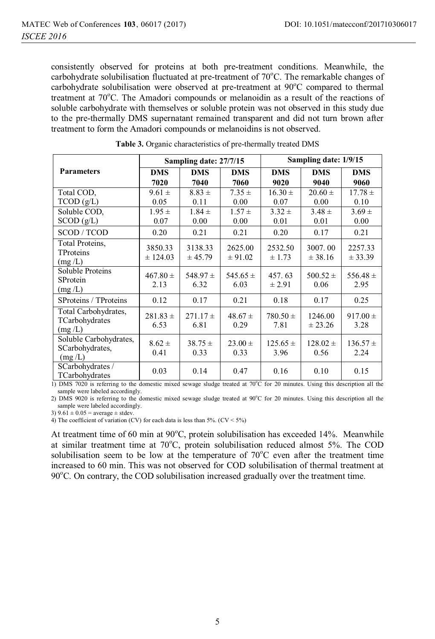consistently observed for proteins at both pre-treatment conditions. Meanwhile, the carbohydrate solubilisation fluctuated at pre-treatment of  $70^{\circ}$ C. The remarkable changes of carbohydrate solubilisation were observed at pre-treatment at 90°C compared to thermal treatment at 70°C. The Amadori compounds or melanoidin as a result of the reactions of soluble carbohydrate with themselves or soluble protein was not observed in this study due to the pre-thermally DMS supernatant remained transparent and did not turn brown after treatment to form the Amadori compounds or melanoidins is not observed.

|                                                                                                                                                                                                                                                                                                                                                                          |                      | Sampling date: 27/7/15 |                      | Sampling date: 1/9/15 |                      |                      |
|--------------------------------------------------------------------------------------------------------------------------------------------------------------------------------------------------------------------------------------------------------------------------------------------------------------------------------------------------------------------------|----------------------|------------------------|----------------------|-----------------------|----------------------|----------------------|
| <b>Parameters</b>                                                                                                                                                                                                                                                                                                                                                        | <b>DMS</b>           | <b>DMS</b>             | <b>DMS</b>           | <b>DMS</b>            | <b>DMS</b>           | <b>DMS</b>           |
|                                                                                                                                                                                                                                                                                                                                                                          | 7020                 | 7040                   | 7060                 | 9020                  | 9040                 | 9060                 |
| Total COD,                                                                                                                                                                                                                                                                                                                                                               | $9.61 \pm$           | $8.83 \pm$             | $7.35 \pm$           | $16.30 \pm$           | $20.60 \pm$          | $17.78 \pm$          |
| TCOD(g/L)                                                                                                                                                                                                                                                                                                                                                                | 0.05                 | 0.11                   | 0.00                 | 0.07                  | 0.00                 | 0.10                 |
| Soluble COD,                                                                                                                                                                                                                                                                                                                                                             | $1.95 \pm$           | $1.84 \pm$             | $1.57 \pm$           | $3.32 \pm$            | $3.48 \pm$           | $3.69 \pm$           |
| SCOD(g/L)                                                                                                                                                                                                                                                                                                                                                                | 0.07                 | 0.00                   | 0.00                 | 0.01                  | 0.01                 | 0.00                 |
| SCOD / TCOD                                                                                                                                                                                                                                                                                                                                                              | 0.20                 | 0.21                   | 0.21                 | 0.20                  | 0.17                 | 0.21                 |
| Total Proteins,<br>TProteins<br>(mg/L)                                                                                                                                                                                                                                                                                                                                   | 3850.33<br>± 124.03  | 3138.33<br>± 45.79     | 2625.00<br>± 91.02   | 2532.50<br>± 1.73     | 3007.00<br>± 38.16   | 2257.33<br>± 33.39   |
| Soluble Proteins<br>SProtein<br>(mg/L)                                                                                                                                                                                                                                                                                                                                   | $467.80 \pm$<br>2.13 | 548.97 $\pm$<br>6.32   | 545.65 $\pm$<br>6.03 | 457.63<br>$\pm 2.91$  | $500.52 \pm$<br>0.06 | 556.48 $\pm$<br>2.95 |
| SProteins / TProteins                                                                                                                                                                                                                                                                                                                                                    | 0.12                 | 0.17                   | 0.21                 | 0.18                  | 0.17                 | 0.25                 |
| Total Carbohydrates,<br>TCarbohydrates<br>(mg/L)                                                                                                                                                                                                                                                                                                                         | $281.83 \pm$<br>6.53 | $271.17 \pm$<br>6.81   | $48.67 \pm$<br>0.29  | $780.50 \pm$<br>7.81  | 1246.00<br>± 23.26   | $917.00 \pm$<br>3.28 |
| Soluble Carbohydrates,<br>SCarbohydrates,<br>(mg/L)                                                                                                                                                                                                                                                                                                                      | $8.62 \pm$<br>0.41   | $38.75 \pm$<br>0.33    | $23.00 \pm$<br>0.33  | $125.65 \pm$<br>3.96  | $128.02 \pm$<br>0.56 | $136.57 \pm$<br>2.24 |
| SCarbohydrates /<br>TCarbohydrates<br>$\mathbf{D}$ $\mathbf{D}$ $\mathbf{M}$ $\mathbf{C}$ $\mathbf{D}$ $\mathbf{D}$ $\mathbf{D}$ $\mathbf{D}$ $\mathbf{D}$ $\mathbf{D}$ $\mathbf{D}$ $\mathbf{D}$ $\mathbf{D}$ $\mathbf{D}$ $\mathbf{D}$ $\mathbf{D}$ $\mathbf{D}$ $\mathbf{D}$ $\mathbf{D}$ $\mathbf{D}$ $\mathbf{D}$ $\mathbf{D}$ $\mathbf{D}$ $\mathbf{D}$ $\mathbf{$ | 0.03                 | 0.14                   | 0.47                 | 0.16                  | 0.10                 | 0.15                 |

**Table 3.** Organic characteristics of pre-thermally treated DMS

1) DMS 7020 is referring to the domestic mixed sewage sludge treated at 70°C for 20 minutes. Using this description all the sample were labeled accordingly.

2) DMS 9020 is referring to the domestic mixed sewage sludge treated at 90°C for 20 minutes. Using this description all the sample were labeled accordingly.

3)  $9.61 \pm 0.05 = \text{average} \pm \text{stdev}$ .

4) The coefficient of variation (CV) for each data is less than  $5\%$ . (CV <  $5\%$ )

At treatment time of 60 min at 90°C, protein solubilisation has exceeded 14%. Meanwhile at similar treatment time at 70°C, protein solubilisation reduced almost 5%. The COD solubilisation seem to be low at the temperature of  $70^{\circ}$ C even after the treatment time increased to 60 min. This was not observed for COD solubilisation of thermal treatment at 90°C. On contrary, the COD solubilisation increased gradually over the treatment time.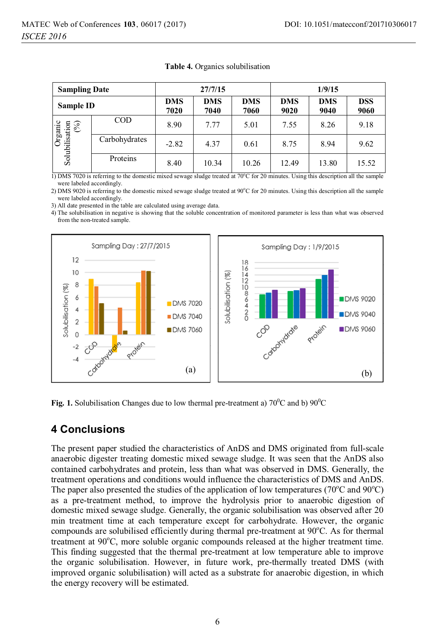| <b>Sampling Date</b>             |               | 27/7/15<br>1/9/15  |                    |                    |                    |                    |                    |
|----------------------------------|---------------|--------------------|--------------------|--------------------|--------------------|--------------------|--------------------|
| Sample ID                        |               | <b>DMS</b><br>7020 | <b>DMS</b><br>7040 | <b>DMS</b><br>7060 | <b>DMS</b><br>9020 | <b>DMS</b><br>9040 | <b>DSS</b><br>9060 |
| Organic<br>Solubilisation<br>(%) | <b>COD</b>    | 8.90               | 7.77               | 5.01               | 7.55               | 8.26               | 9.18               |
|                                  | Carbohydrates | $-2.82$            | 4.37               | 0.61               | 8.75               | 8.94               | 9.62               |
|                                  | Proteins      | 8.40               | 10.34              | 10.26              | 12.49              | 13.80              | 15.52              |

| Table 4. Organics solubilisation |  |
|----------------------------------|--|
|                                  |  |

1) DMS 7020 is referring to the domestic mixed sewage sludge treated at 70 $^{\circ}$ C for 20 minutes. Using this description all the sample were labeled accordingly.

2) DMS 9020 is referring to the domestic mixed sewage sludge treated at  $90^{\circ}$ C for 20 minutes. Using this description all the sample were labeled accordingly.

3) All date presented in the table are calculated using average data.

4) The solubilisation in negative is showing that the soluble concentration of monitored parameter is less than what was observed from the non-treated sample.



Fig. 1. Solubilisation Changes due to low thermal pre-treatment a)  $70^{\circ}$ C and b)  $90^{\circ}$ C

# **4 Conclusions**

The present paper studied the characteristics of AnDS and DMS originated from full-scale anaerobic digester treating domestic mixed sewage sludge. It was seen that the AnDS also contained carbohydrates and protein, less than what was observed in DMS. Generally, the treatment operations and conditions would influence the characteristics of DMS and AnDS. The paper also presented the studies of the application of low temperatures (70°C and 90°C) as a pre-treatment method, to improve the hydrolysis prior to anaerobic digestion of domestic mixed sewage sludge. Generally, the organic solubilisation was observed after 20 min treatment time at each temperature except for carbohydrate. However, the organic compounds are solubilised efficiently during thermal pre-treatment at 90°C. As for thermal treatment at 90°C, more soluble organic compounds released at the higher treatment time. This finding suggested that the thermal pre-treatment at low temperature able to improve the organic solubilisation. However, in future work, pre-thermally treated DMS (with improved organic solubilisation) will acted as a substrate for anaerobic digestion, in which the energy recovery will be estimated.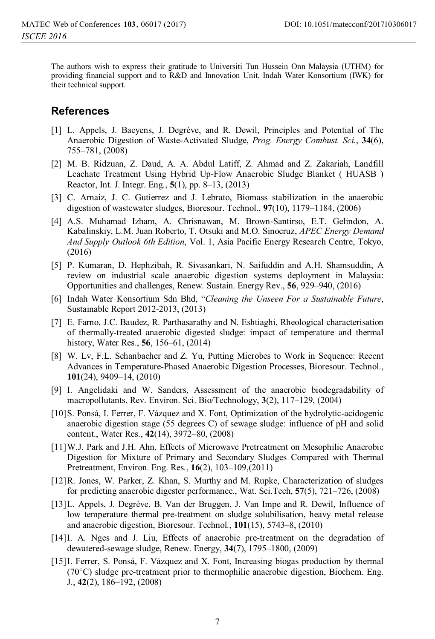The authors wish to express their gratitude to Universiti Tun Hussein Onn Malaysia (UTHM) for providing financial support and to R&D and Innovation Unit, Indah Water Konsortium (IWK) for their technical support.

### **References**

- [1] L. Appels, J. Baeyens, J. Degrève, and R. Dewil, Principles and Potential of The Anaerobic Digestion of Waste-Activated Sludge, *Prog. Energy Combust. Sci.*, **34**(6), 755–781, (2008)
- [2] M. B. Ridzuan, Z. Daud, A. A. Abdul Latiff, Z. Ahmad and Z. Zakariah, Landfill Leachate Treatment Using Hybrid Up-Flow Anaerobic Sludge Blanket ( HUASB ) Reactor, Int. J. Integr. Eng*.*, **5**(1), pp. 8–13, (2013)
- [3] C. Arnaiz, J. C. Gutierrez and J. Lebrato, Biomass stabilization in the anaerobic digestion of wastewater sludges, Bioresour. Technol., **97**(10), 1179–1184, (2006)
- [4] A.S. Muhamad Izham, A. Chrisnawan, M. Brown-Santirso, E.T. Gelindon, A. Kabalinskiy, L.M. Juan Roberto, T. Otsuki and M.O. Sinocruz, *APEC Energy Demand And Supply Outlook 6th Edition*, Vol. 1, Asia Pacific Energy Research Centre, Tokyo, (2016)
- [5] P. Kumaran, D. Hephzibah, R. Sivasankari, N. Saifuddin and A.H. Shamsuddin, A review on industrial scale anaerobic digestion systems deployment in Malaysia: Opportunities and challenges, Renew. Sustain. Energy Rev., **56**, 929–940, (2016)
- [6] Indah Water Konsortium Sdn Bhd, "*Cleaning the Unseen For a Sustainable Future*, Sustainable Report 2012-2013, (2013)
- [7] E. Farno, J.C. Baudez, R. Parthasarathy and N. Eshtiaghi, Rheological characterisation of thermally-treated anaerobic digested sludge: impact of temperature and thermal history, Water Res*.*, **56**, 156–61, (2014)
- [8] W. Lv, F.L. Schanbacher and Z. Yu, Putting Microbes to Work in Sequence: Recent Advances in Temperature-Phased Anaerobic Digestion Processes, Bioresour. Technol., **101**(24), 9409–14, (2010)
- [9] I. Angelidaki and W. Sanders, Assessment of the anaerobic biodegradability of macropollutants, Rev. Environ. Sci. Bio/Technology, **3**(2), 117–129, (2004)
- [10] S. Ponsá, I. Ferrer, F. Vázquez and X. Font, Optimization of the hydrolytic-acidogenic anaerobic digestion stage (55 degrees C) of sewage sludge: influence of pH and solid content., Water Res., **42**(14), 3972–80, (2008)
- [11] W.J. Park and J.H. Ahn, Effects of Microwave Pretreatment on Mesophilic Anaerobic Digestion for Mixture of Primary and Secondary Sludges Compared with Thermal Pretreatment, Environ. Eng. Res*.*, **16**(2), 103–109,(2011)
- [12] R. Jones, W. Parker, Z. Khan, S. Murthy and M. Rupke, Characterization of sludges for predicting anaerobic digester performance., Wat. Sci.Tech, **57**(5), 721–726, (2008)
- [13] L. Appels, J. Degrève, B. Van der Bruggen, J. Van Impe and R. Dewil, Influence of low temperature thermal pre-treatment on sludge solubilisation, heavy metal release and anaerobic digestion, Bioresour. Technol*.*, **101**(15), 5743–8, (2010)
- [14] I. A. Nges and J. Liu, Effects of anaerobic pre-treatment on the degradation of dewatered-sewage sludge, Renew. Energy, **34**(7), 1795–1800, (2009)
- [15] I. Ferrer, S. Ponsá, F. Vázquez and X. Font, Increasing biogas production by thermal (70°C) sludge pre-treatment prior to thermophilic anaerobic digestion, Biochem. Eng. J*.*, **42**(2), 186–192, (2008)